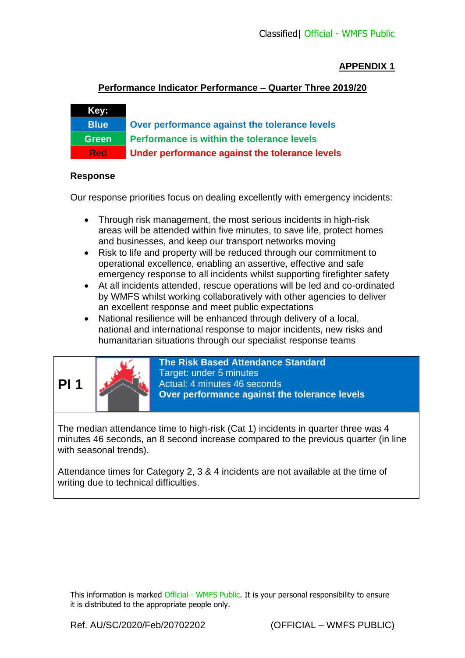## **APPENDIX 1**

## **Performance Indicator Performance – Quarter Three 2019/20**

**Blue Over performance against the tolerance levels Green Performance is within the tolerance levels Red Under performance against the tolerance levels**

#### **Response**

**Key:**

Our response priorities focus on dealing excellently with emergency incidents:

- Through risk management, the most serious incidents in high-risk areas will be attended within five minutes, to save life, protect homes and businesses, and keep our transport networks moving
- Risk to life and property will be reduced through our commitment to operational excellence, enabling an assertive, effective and safe emergency response to all incidents whilst supporting firefighter safety
- At all incidents attended, rescue operations will be led and co-ordinated by WMFS whilst working collaboratively with other agencies to deliver an excellent response and meet public expectations
- National resilience will be enhanced through delivery of a local, national and international response to major incidents, new risks and humanitarian situations through our specialist response teams



**The Risk Based Attendance Standard** Target: under 5 minutes Actual: 4 minutes 46 seconds **Over performance against the tolerance levels**

The median attendance time to high-risk (Cat 1) incidents in quarter three was 4 minutes 46 seconds, an 8 second increase compared to the previous quarter (in line with seasonal trends).

Attendance times for Category 2, 3 & 4 incidents are not available at the time of writing due to technical difficulties.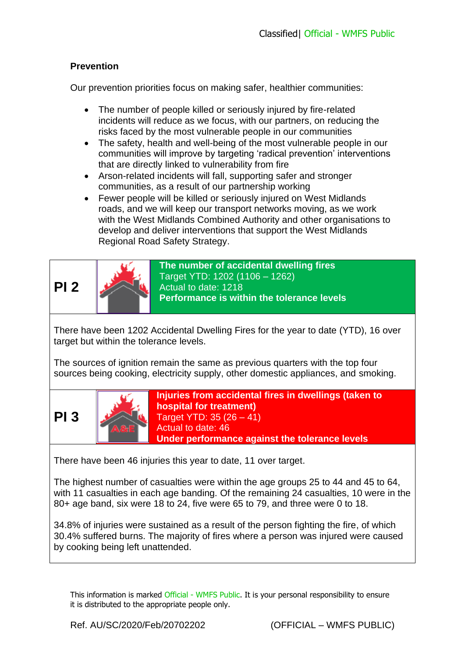# **Prevention**

Our prevention priorities focus on making safer, healthier communities:

- The number of people killed or seriously injured by fire-related incidents will reduce as we focus, with our partners, on reducing the risks faced by the most vulnerable people in our communities
- The safety, health and well-being of the most vulnerable people in our communities will improve by targeting 'radical prevention' interventions that are directly linked to vulnerability from fire
- Arson-related incidents will fall, supporting safer and stronger communities, as a result of our partnership working
- Fewer people will be killed or seriously injured on West Midlands roads, and we will keep our transport networks moving, as we work with the West Midlands Combined Authority and other organisations to develop and deliver interventions that support the West Midlands Regional Road Safety Strategy.

**PI 2**



**The number of accidental dwelling fires** Target YTD: 1202 (1106 – 1262) Actual to date: 1218 **Performance is within the tolerance levels**

There have been 1202 Accidental Dwelling Fires for the year to date (YTD), 16 over target but within the tolerance levels.

The sources of ignition remain the same as previous quarters with the top four sources being cooking, electricity supply, other domestic appliances, and smoking.





**Injuries from accidental fires in dwellings (taken to hospital for treatment)** Target YTD: 35 (26 – 41) Actual to date: 46 **Under performance against the tolerance levels**

There have been 46 injuries this year to date, 11 over target.

The highest number of casualties were within the age groups 25 to 44 and 45 to 64, with 11 casualties in each age banding. Of the remaining 24 casualties, 10 were in the 80+ age band, six were 18 to 24, five were 65 to 79, and three were 0 to 18.

34.8% of injuries were sustained as a result of the person fighting the fire, of which 30.4% suffered burns. The majority of fires where a person was injured were caused by cooking being left unattended.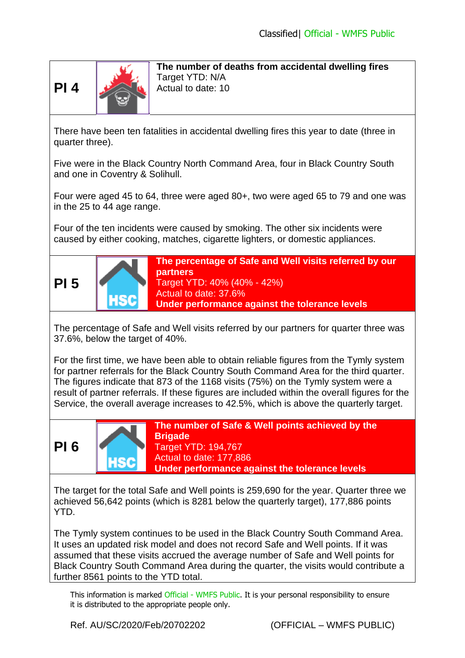

**The number of deaths from accidental dwelling fires** Target YTD: N/A Actual to date: 10

There have been ten fatalities in accidental dwelling fires this year to date (three in quarter three).

Five were in the Black Country North Command Area, four in Black Country South and one in Coventry & Solihull.

Four were aged 45 to 64, three were aged 80+, two were aged 65 to 79 and one was in the 25 to 44 age range.

Four of the ten incidents were caused by smoking. The other six incidents were caused by either cooking, matches, cigarette lighters, or domestic appliances.



**The percentage of Safe and Well visits referred by our partners** Target YTD: 40% (40% - 42%) Actual to date: 37.6% **Under performance against the tolerance levels**

The percentage of Safe and Well visits referred by our partners for quarter three was 37.6%, below the target of 40%.

For the first time, we have been able to obtain reliable figures from the Tymly system for partner referrals for the Black Country South Command Area for the third quarter. The figures indicate that 873 of the 1168 visits (75%) on the Tymly system were a result of partner referrals. If these figures are included within the overall figures for the Service, the overall average increases to 42.5%, which is above the quarterly target.





**The number of Safe & Well points achieved by the Brigade** Target YTD: 194,767 Actual to date: 177,886

**Under performance against the tolerance levels**

The target for the total Safe and Well points is 259,690 for the year. Quarter three we achieved 56,642 points (which is 8281 below the quarterly target), 177,886 points YTD.

The Tymly system continues to be used in the Black Country South Command Area. It uses an updated risk model and does not record Safe and Well points. If it was assumed that these visits accrued the average number of Safe and Well points for Black Country South Command Area during the quarter, the visits would contribute a further 8561 points to the YTD total.

This information is marked Official - WMFS Public. It is your personal responsibility to ensure it is distributed to the appropriate people only.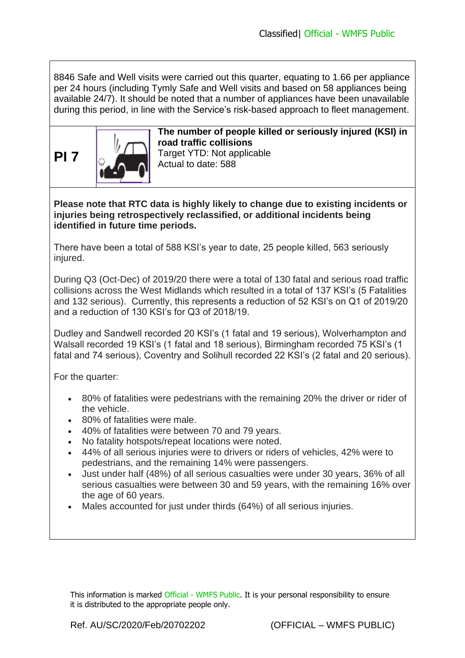8846 Safe and Well visits were carried out this quarter, equating to 1.66 per appliance per 24 hours (including Tymly Safe and Well visits and based on 58 appliances being available 24/7). It should be noted that a number of appliances have been unavailable during this period, in line with the Service's risk-based approach to fleet management.



**The number of people killed or seriously injured (KSI) in road traffic collisions** Target YTD: Not applicable Actual to date: 588

**Please note that RTC data is highly likely to change due to existing incidents or injuries being retrospectively reclassified, or additional incidents being identified in future time periods.**

There have been a total of 588 KSI's year to date, 25 people killed, 563 seriously injured.

During Q3 (Oct-Dec) of 2019/20 there were a total of 130 fatal and serious road traffic collisions across the West Midlands which resulted in a total of 137 KSI's (5 Fatalities and 132 serious). Currently, this represents a reduction of 52 KSI's on Q1 of 2019/20 and a reduction of 130 KSI's for Q3 of 2018/19.

Dudley and Sandwell recorded 20 KSI's (1 fatal and 19 serious), Wolverhampton and Walsall recorded 19 KSI's (1 fatal and 18 serious), Birmingham recorded 75 KSI's (1 fatal and 74 serious), Coventry and Solihull recorded 22 KSI's (2 fatal and 20 serious).

For the quarter:

- 80% of fatalities were pedestrians with the remaining 20% the driver or rider of the vehicle.
- 80% of fatalities were male.
- 40% of fatalities were between 70 and 79 years.
- No fatality hotspots/repeat locations were noted.
- 44% of all serious injuries were to drivers or riders of vehicles, 42% were to pedestrians, and the remaining 14% were passengers.
- Just under half (48%) of all serious casualties were under 30 years, 36% of all serious casualties were between 30 and 59 years, with the remaining 16% over the age of 60 years.
- Males accounted for just under thirds (64%) of all serious injuries.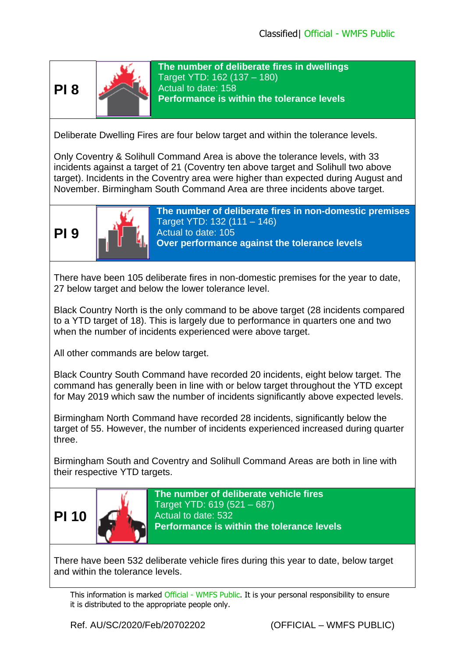



**The number of deliberate fires in dwellings** Target YTD: 162 (137 – 180) Actual to date: 158 **Performance is within the tolerance levels**

Deliberate Dwelling Fires are four below target and within the tolerance levels.

Only Coventry & Solihull Command Area is above the tolerance levels, with 33 incidents against a target of 21 (Coventry ten above target and Solihull two above target). Incidents in the Coventry area were higher than expected during August and November. Birmingham South Command Area are three incidents above target.





**The number of deliberate fires in non-domestic premises** Target YTD: 132 (111 – 146) Actual to date: 105 **Over performance against the tolerance levels**

There have been 105 deliberate fires in non-domestic premises for the year to date, 27 below target and below the lower tolerance level.

Black Country North is the only command to be above target (28 incidents compared to a YTD target of 18). This is largely due to performance in quarters one and two when the number of incidents experienced were above target.

All other commands are below target.

Black Country South Command have recorded 20 incidents, eight below target. The command has generally been in line with or below target throughout the YTD except for May 2019 which saw the number of incidents significantly above expected levels.

Birmingham North Command have recorded 28 incidents, significantly below the target of 55. However, the number of incidents experienced increased during quarter three.

Birmingham South and Coventry and Solihull Command Areas are both in line with their respective YTD targets.



**The number of deliberate vehicle fires** Target YTD: 619 (521 – 687) Actual to date: 532 **Performance is within the tolerance levels**

There have been 532 deliberate vehicle fires during this year to date, below target and within the tolerance levels.

This information is marked Official - WMFS Public. It is your personal responsibility to ensure it is distributed to the appropriate people only.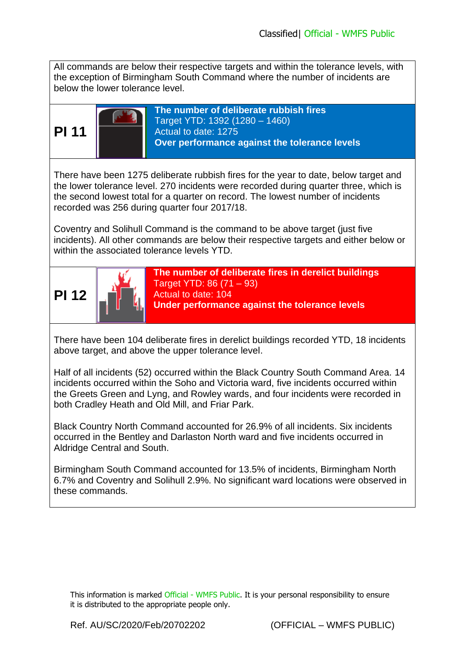All commands are below their respective targets and within the tolerance levels, with the exception of Birmingham South Command where the number of incidents are below the lower tolerance level.



**The number of deliberate rubbish fires** Target YTD: 1392 (1280 – 1460) Actual to date: 1275 **Over performance against the tolerance levels**

There have been 1275 deliberate rubbish fires for the year to date, below target and the lower tolerance level. 270 incidents were recorded during quarter three, which is the second lowest total for a quarter on record. The lowest number of incidents recorded was 256 during quarter four 2017/18.

Coventry and Solihull Command is the command to be above target (just five incidents). All other commands are below their respective targets and either below or within the associated tolerance levels YTD.



**The number of deliberate fires in derelict buildings** Target YTD: 86 (71 – 93) Actual to date: 104

**Under performance against the tolerance levels**

There have been 104 deliberate fires in derelict buildings recorded YTD, 18 incidents above target, and above the upper tolerance level.

Half of all incidents (52) occurred within the Black Country South Command Area. 14 incidents occurred within the Soho and Victoria ward, five incidents occurred within the Greets Green and Lyng, and Rowley wards, and four incidents were recorded in both Cradley Heath and Old Mill, and Friar Park.

Black Country North Command accounted for 26.9% of all incidents. Six incidents occurred in the Bentley and Darlaston North ward and five incidents occurred in Aldridge Central and South.

Birmingham South Command accounted for 13.5% of incidents, Birmingham North 6.7% and Coventry and Solihull 2.9%. No significant ward locations were observed in these commands.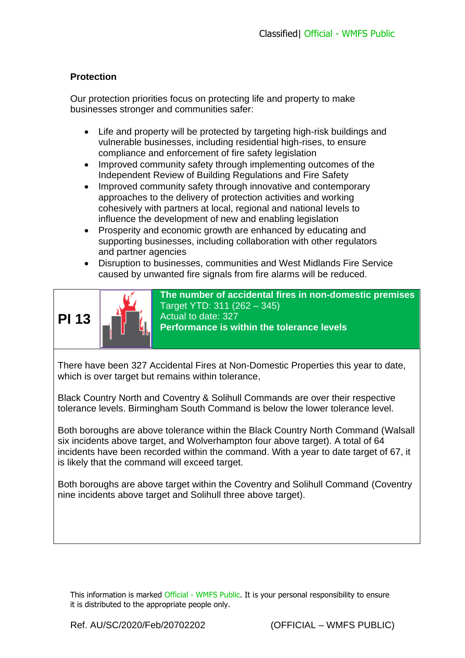## **Protection**

Our protection priorities focus on protecting life and property to make businesses stronger and communities safer:

- Life and property will be protected by targeting high-risk buildings and vulnerable businesses, including residential high-rises, to ensure compliance and enforcement of fire safety legislation
- Improved community safety through implementing outcomes of the Independent Review of Building Regulations and Fire Safety
- Improved community safety through innovative and contemporary approaches to the delivery of protection activities and working cohesively with partners at local, regional and national levels to influence the development of new and enabling legislation
- Prosperity and economic growth are enhanced by educating and supporting businesses, including collaboration with other regulators and partner agencies
- Disruption to businesses, communities and West Midlands Fire Service caused by unwanted fire signals from fire alarms will be reduced.



**The number of accidental fires in non-domestic premises** Target YTD: 311 (262 – 345) Actual to date: 327 **Performance is within the tolerance levels**

There have been 327 Accidental Fires at Non-Domestic Properties this year to date, which is over target but remains within tolerance,

Black Country North and Coventry & Solihull Commands are over their respective tolerance levels. Birmingham South Command is below the lower tolerance level.

Both boroughs are above tolerance within the Black Country North Command (Walsall six incidents above target, and Wolverhampton four above target). A total of 64 incidents have been recorded within the command. With a year to date target of 67, it is likely that the command will exceed target.

Both boroughs are above target within the Coventry and Solihull Command (Coventry nine incidents above target and Solihull three above target).

This information is marked Official - WMFS Public. It is your personal responsibility to ensure it is distributed to the appropriate people only.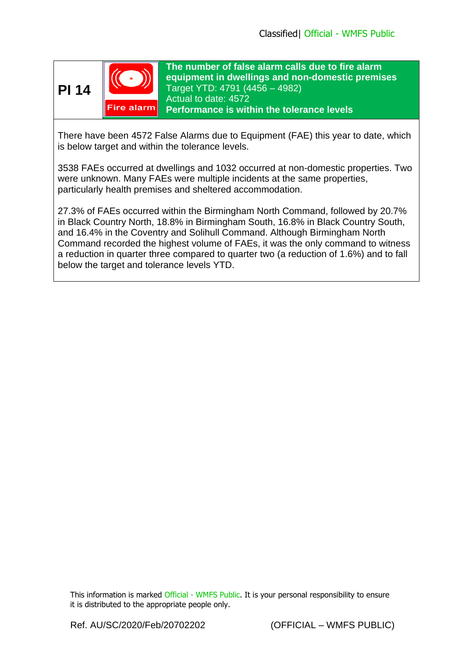**PI 14**



**The number of false alarm calls due to fire alarm equipment in dwellings and non-domestic premises** Target YTD: 4791 (4456 – 4982) Actual to date: 4572 **Performance is within the tolerance levels**

There have been 4572 False Alarms due to Equipment (FAE) this year to date, which is below target and within the tolerance levels.

3538 FAEs occurred at dwellings and 1032 occurred at non-domestic properties. Two were unknown. Many FAEs were multiple incidents at the same properties, particularly health premises and sheltered accommodation.

27.3% of FAEs occurred within the Birmingham North Command, followed by 20.7% in Black Country North, 18.8% in Birmingham South, 16.8% in Black Country South, and 16.4% in the Coventry and Solihull Command. Although Birmingham North Command recorded the highest volume of FAEs, it was the only command to witness a reduction in quarter three compared to quarter two (a reduction of 1.6%) and to fall below the target and tolerance levels YTD.

This information is marked Official - WMFS Public. It is your personal responsibility to ensure it is distributed to the appropriate people only.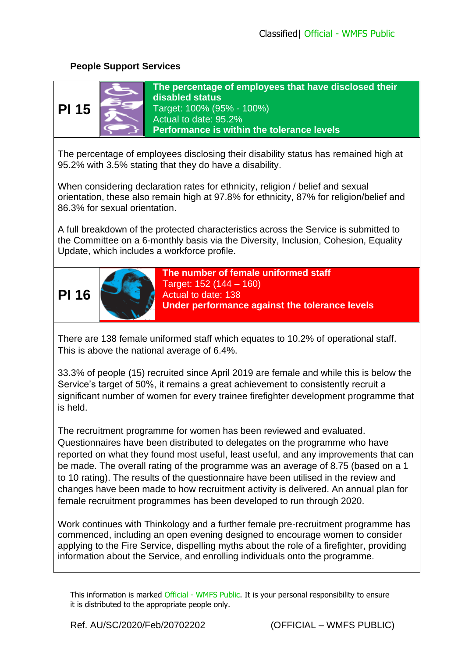# **People Support Services**



**The percentage of employees that have disclosed their disabled status** Target: 100% (95% - 100%) Actual to date: 95.2% **Performance is within the tolerance levels**

The percentage of employees disclosing their disability status has remained high at 95.2% with 3.5% stating that they do have a disability.

When considering declaration rates for ethnicity, religion / belief and sexual orientation, these also remain high at 97.8% for ethnicity, 87% for religion/belief and 86.3% for sexual orientation.

A full breakdown of the protected characteristics across the Service is submitted to the Committee on a 6-monthly basis via the Diversity, Inclusion, Cohesion, Equality Update, which includes a workforce profile.





**The number of female uniformed staff** Target: 152 (144 – 160) Actual to date: 138 **Under performance against the tolerance levels**

There are 138 female uniformed staff which equates to 10.2% of operational staff. This is above the national average of 6.4%.

33.3% of people (15) recruited since April 2019 are female and while this is below the Service's target of 50%, it remains a great achievement to consistently recruit a significant number of women for every trainee firefighter development programme that is held.

The recruitment programme for women has been reviewed and evaluated. Questionnaires have been distributed to delegates on the programme who have reported on what they found most useful, least useful, and any improvements that can be made. The overall rating of the programme was an average of 8.75 (based on a 1 to 10 rating). The results of the questionnaire have been utilised in the review and changes have been made to how recruitment activity is delivered. An annual plan for female recruitment programmes has been developed to run through 2020.

Work continues with Thinkology and a further female pre-recruitment programme has commenced, including an open evening designed to encourage women to consider applying to the Fire Service, dispelling myths about the role of a firefighter, providing information about the Service, and enrolling individuals onto the programme.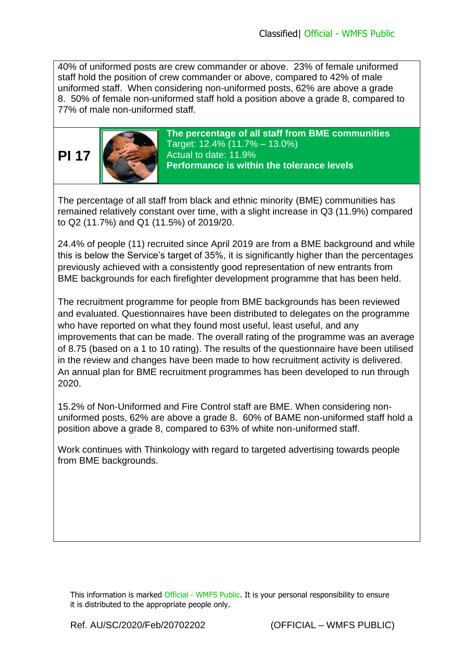40% of uniformed posts are crew commander or above. 23% of female uniformed staff hold the position of crew commander or above, compared to 42% of male uniformed staff. When considering non-uniformed posts, 62% are above a grade 8. 50% of female non-uniformed staff hold a position above a grade 8, compared to 77% of male non-uniformed staff.



**The percentage of all staff from BME communities** Target: 12.4% (11.7% – 13.0%) Actual to date: 11.9% **Performance is within the tolerance levels**

The percentage of all staff from black and ethnic minority (BME) communities has remained relatively constant over time, with a slight increase in Q3 (11.9%) compared to Q2 (11.7%) and Q1 (11.5%) of 2019/20.

24.4% of people (11) recruited since April 2019 are from a BME background and while this is below the Service's target of 35%, it is significantly higher than the percentages previously achieved with a consistently good representation of new entrants from BME backgrounds for each firefighter development programme that has been held.

The recruitment programme for people from BME backgrounds has been reviewed and evaluated. Questionnaires have been distributed to delegates on the programme who have reported on what they found most useful, least useful, and any improvements that can be made. The overall rating of the programme was an average of 8.75 (based on a 1 to 10 rating). The results of the questionnaire have been utilised in the review and changes have been made to how recruitment activity is delivered. An annual plan for BME recruitment programmes has been developed to run through 2020.

15.2% of Non-Uniformed and Fire Control staff are BME. When considering nonuniformed posts, 62% are above a grade 8. 60% of BAME non-uniformed staff hold a position above a grade 8, compared to 63% of white non-uniformed staff.

Work continues with Thinkology with regard to targeted advertising towards people from BME backgrounds.

This information is marked Official - WMFS Public. It is your personal responsibility to ensure it is distributed to the appropriate people only.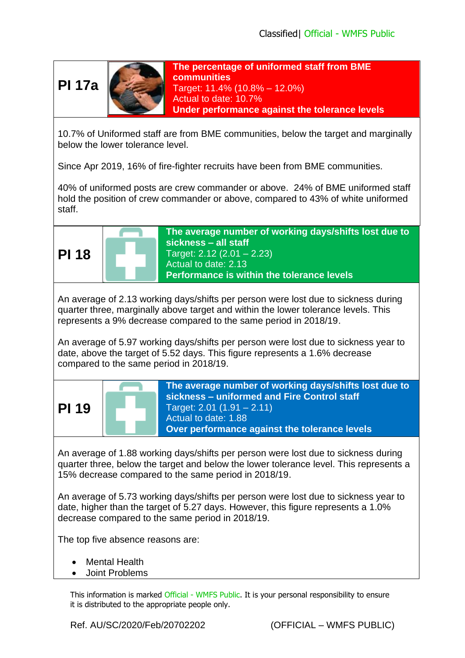**PI 17a**



**The percentage of uniformed staff from BME communities** Target: 11.4% (10.8% – 12.0%) Actual to date: 10.7% **Under performance against the tolerance levels**

10.7% of Uniformed staff are from BME communities, below the target and marginally below the lower tolerance level.

Since Apr 2019, 16% of fire-fighter recruits have been from BME communities.

40% of uniformed posts are crew commander or above. 24% of BME uniformed staff hold the position of crew commander or above, compared to 43% of white uniformed staff.



**The average number of working days/shifts lost due to sickness – all staff** Target: 2.12 (2.01 – 2.23) Actual to date: 2.13 **Performance is within the tolerance levels**

An average of 2.13 working days/shifts per person were lost due to sickness during quarter three, marginally above target and within the lower tolerance levels. This represents a 9% decrease compared to the same period in 2018/19.

An average of 5.97 working days/shifts per person were lost due to sickness year to date, above the target of 5.52 days. This figure represents a 1.6% decrease compared to the same period in 2018/19.



An average of 1.88 working days/shifts per person were lost due to sickness during quarter three, below the target and below the lower tolerance level. This represents a 15% decrease compared to the same period in 2018/19.

An average of 5.73 working days/shifts per person were lost due to sickness year to date, higher than the target of 5.27 days. However, this figure represents a 1.0% decrease compared to the same period in 2018/19.

The top five absence reasons are:

- Mental Health
- Joint Problems

This information is marked Official - WMFS Public. It is your personal responsibility to ensure it is distributed to the appropriate people only.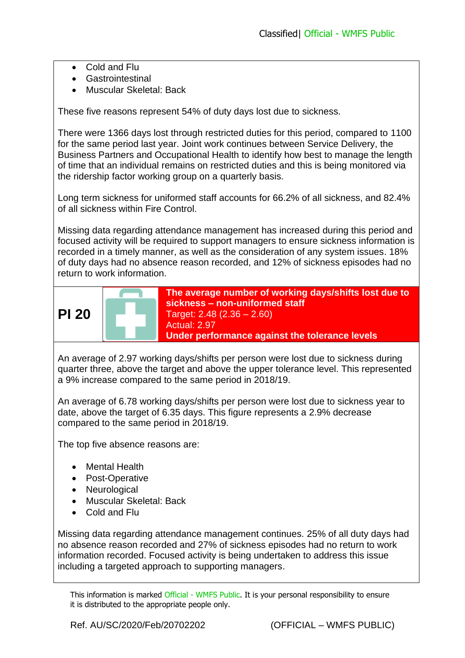- Cold and Flu
- Gastrointestinal
- Muscular Skeletal: Back

These five reasons represent 54% of duty days lost due to sickness.

There were 1366 days lost through restricted duties for this period, compared to 1100 for the same period last year. Joint work continues between Service Delivery, the Business Partners and Occupational Health to identify how best to manage the length of time that an individual remains on restricted duties and this is being monitored via the ridership factor working group on a quarterly basis.

Long term sickness for uniformed staff accounts for 66.2% of all sickness, and 82.4% of all sickness within Fire Control.

Missing data regarding attendance management has increased during this period and focused activity will be required to support managers to ensure sickness information is recorded in a timely manner, as well as the consideration of any system issues. 18% of duty days had no absence reason recorded, and 12% of sickness episodes had no return to work information.



An average of 2.97 working days/shifts per person were lost due to sickness during quarter three, above the target and above the upper tolerance level. This represented a 9% increase compared to the same period in 2018/19.

An average of 6.78 working days/shifts per person were lost due to sickness year to date, above the target of 6.35 days. This figure represents a 2.9% decrease compared to the same period in 2018/19.

The top five absence reasons are:

- Mental Health
- Post-Operative
- Neurological
- Muscular Skeletal: Back
- Cold and Flu

Missing data regarding attendance management continues. 25% of all duty days had no absence reason recorded and 27% of sickness episodes had no return to work information recorded. Focused activity is being undertaken to address this issue including a targeted approach to supporting managers.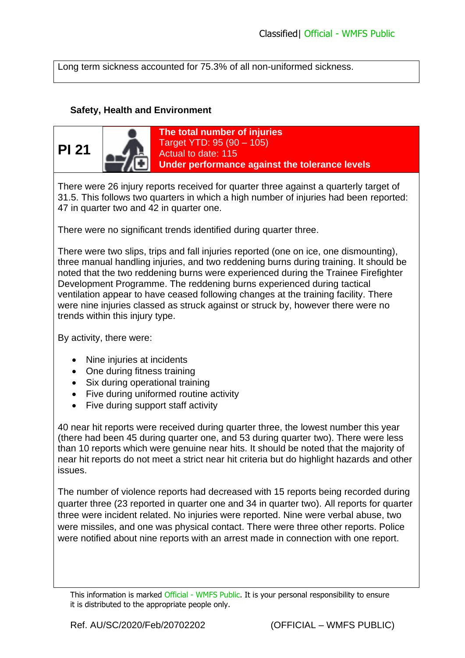Long term sickness accounted for 75.3% of all non-uniformed sickness.

#### **Safety, Health and Environment**



There were 26 injury reports received for quarter three against a quarterly target of 31.5. This follows two quarters in which a high number of injuries had been reported: 47 in quarter two and 42 in quarter one.

There were no significant trends identified during quarter three.

There were two slips, trips and fall injuries reported (one on ice, one dismounting), three manual handling injuries, and two reddening burns during training. It should be noted that the two reddening burns were experienced during the Trainee Firefighter Development Programme. The reddening burns experienced during tactical ventilation appear to have ceased following changes at the training facility. There were nine injuries classed as struck against or struck by, however there were no trends within this injury type.

By activity, there were:

- Nine injuries at incidents
- One during fitness training
- Six during operational training
- Five during uniformed routine activity
- Five during support staff activity

40 near hit reports were received during quarter three, the lowest number this year (there had been 45 during quarter one, and 53 during quarter two). There were less than 10 reports which were genuine near hits. It should be noted that the majority of near hit reports do not meet a strict near hit criteria but do highlight hazards and other issues.

The number of violence reports had decreased with 15 reports being recorded during quarter three (23 reported in quarter one and 34 in quarter two). All reports for quarter three were incident related. No injuries were reported. Nine were verbal abuse, two were missiles, and one was physical contact. There were three other reports. Police were notified about nine reports with an arrest made in connection with one report.

This information is marked Official - WMFS Public. It is your personal responsibility to ensure it is distributed to the appropriate people only.